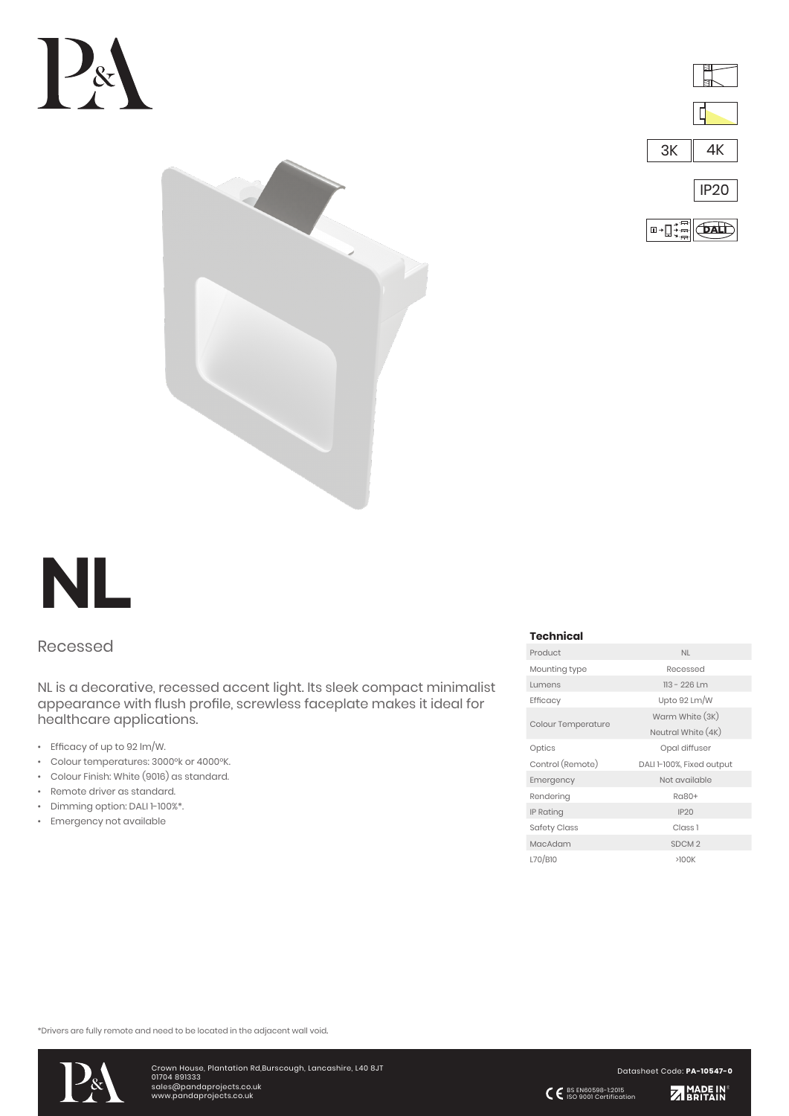







## Recessed

NL is a decorative, recessed accent light. Its sleek compact minimalist appearance with flush profile, screwless faceplate makes it ideal for healthcare applications.

- Efficacy of up to 92 lm/W.
- Colour temperatures: 3000°k or 4000°K.
- Colour Finish: White (9016) as standard.
- Remote driver as standard.
- Dimming option: DALI 1-100%\*.
- Emergency not available

## **Technical**

| Product                   | <b>NL</b>                 |  |  |
|---------------------------|---------------------------|--|--|
| Mounting type             | Recessed                  |  |  |
| Lumens                    | $113 - 226$ Lm            |  |  |
| Efficacy                  | Upto 92 Lm/W              |  |  |
| <b>Colour Temperature</b> | Warm White (3K)           |  |  |
|                           | Neutral White (4K)        |  |  |
| Optics                    | Opal diffuser             |  |  |
|                           |                           |  |  |
| Control (Remote)          | DALI 1-100%, Fixed output |  |  |
| Emergency                 | Not available             |  |  |
| Rendering                 | Ra80+                     |  |  |
| <b>IP Rating</b>          | IP20                      |  |  |
| <b>Safety Class</b>       | Class <sub>1</sub>        |  |  |
| MacAdam                   | SDCM <sub>2</sub>         |  |  |

\*Drivers are fully remote and need to be located in the adjacent wall void.



Datasheet Code: **PA-10547-0**